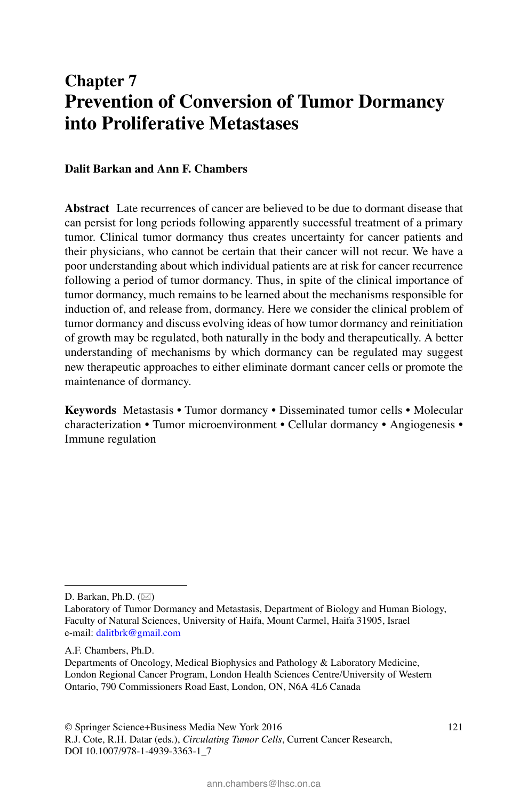# **Chapter 7 Prevention of Conversion of Tumor Dormancy into Proliferative Metastases**

### **Dalit Barkan and Ann F. Chambers**

 **Abstract** Late recurrences of cancer are believed to be due to dormant disease that can persist for long periods following apparently successful treatment of a primary tumor. Clinical tumor dormancy thus creates uncertainty for cancer patients and their physicians, who cannot be certain that their cancer will not recur. We have a poor understanding about which individual patients are at risk for cancer recurrence following a period of tumor dormancy. Thus, in spite of the clinical importance of tumor dormancy, much remains to be learned about the mechanisms responsible for induction of, and release from, dormancy. Here we consider the clinical problem of tumor dormancy and discuss evolving ideas of how tumor dormancy and reinitiation of growth may be regulated, both naturally in the body and therapeutically. A better understanding of mechanisms by which dormancy can be regulated may suggest new therapeutic approaches to either eliminate dormant cancer cells or promote the maintenance of dormancy.

 **Keywords** Metastasis • Tumor dormancy • Disseminated tumor cells • Molecular characterization • Tumor microenvironment • Cellular dormancy • Angiogenesis • Immune regulation

D. Barkan, Ph.D.  $(\boxtimes)$ 

A.F. Chambers, Ph.D.

Laboratory of Tumor Dormancy and Metastasis, Department of Biology and Human Biology, Faculty of Natural Sciences , University of Haifa , Mount Carmel , Haifa 31905 , Israel e-mail: [dalitbrk@gmail.com](mailto:dalitbrk@gmail.com)

Departments of Oncology, Medical Biophysics and Pathology & Laboratory Medicine, London Regional Cancer Program , London Health Sciences Centre/University of Western Ontario , 790 Commissioners Road East , London , ON , N6A 4L6 Canada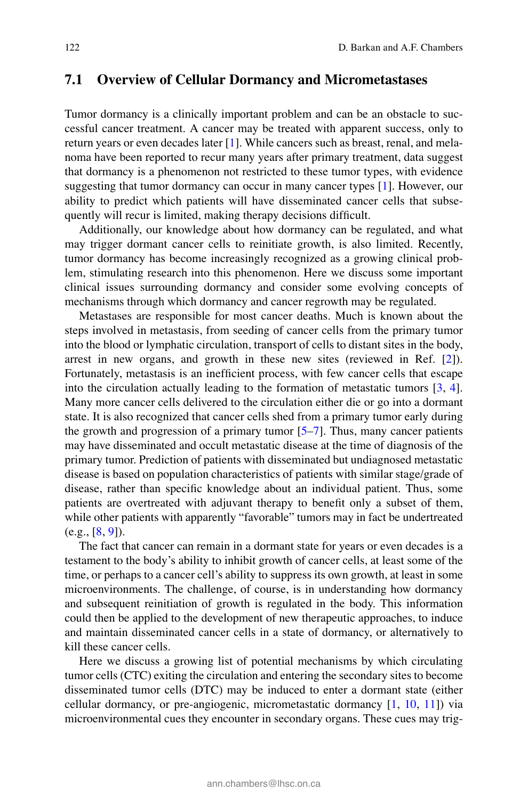### **7.1 Overview of Cellular Dormancy and Micrometastases**

 Tumor dormancy is a clinically important problem and can be an obstacle to successful cancer treatment. A cancer may be treated with apparent success, only to return years or even decades later  $[1]$ . While cancers such as breast, renal, and melanoma have been reported to recur many years after primary treatment, data suggest that dormancy is a phenomenon not restricted to these tumor types, with evidence suggesting that tumor dormancy can occur in many cancer types [1]. However, our ability to predict which patients will have disseminated cancer cells that subsequently will recur is limited, making therapy decisions difficult.

 Additionally, our knowledge about how dormancy can be regulated, and what may trigger dormant cancer cells to reinitiate growth, is also limited. Recently, tumor dormancy has become increasingly recognized as a growing clinical problem, stimulating research into this phenomenon. Here we discuss some important clinical issues surrounding dormancy and consider some evolving concepts of mechanisms through which dormancy and cancer regrowth may be regulated.

 Metastases are responsible for most cancer deaths. Much is known about the steps involved in metastasis, from seeding of cancer cells from the primary tumor into the blood or lymphatic circulation, transport of cells to distant sites in the body, arrest in new organs, and growth in these new sites (reviewed in Ref.  $[2]$ ). Fortunately, metastasis is an inefficient process, with few cancer cells that escape into the circulation actually leading to the formation of metastatic tumors  $[3, 4]$ . Many more cancer cells delivered to the circulation either die or go into a dormant state. It is also recognized that cancer cells shed from a primary tumor early during the growth and progression of a primary tumor  $[5-7]$ . Thus, many cancer patients may have disseminated and occult metastatic disease at the time of diagnosis of the primary tumor. Prediction of patients with disseminated but undiagnosed metastatic disease is based on population characteristics of patients with similar stage/grade of disease, rather than specific knowledge about an individual patient. Thus, some patients are overtreated with adjuvant therapy to benefit only a subset of them, while other patients with apparently "favorable" tumors may in fact be undertreated  $(e.g., [8, 9])$ .

 The fact that cancer can remain in a dormant state for years or even decades is a testament to the body's ability to inhibit growth of cancer cells, at least some of the time, or perhaps to a cancer cell's ability to suppress its own growth, at least in some microenvironments. The challenge, of course, is in understanding how dormancy and subsequent reinitiation of growth is regulated in the body. This information could then be applied to the development of new therapeutic approaches, to induce and maintain disseminated cancer cells in a state of dormancy, or alternatively to kill these cancer cells.

 Here we discuss a growing list of potential mechanisms by which circulating tumor cells (CTC) exiting the circulation and entering the secondary sites to become disseminated tumor cells (DTC) may be induced to enter a dormant state (either cellular dormancy, or pre-angiogenic, micrometastatic dormancy  $[1, 10, 11]$  via microenvironmental cues they encounter in secondary organs. These cues may trig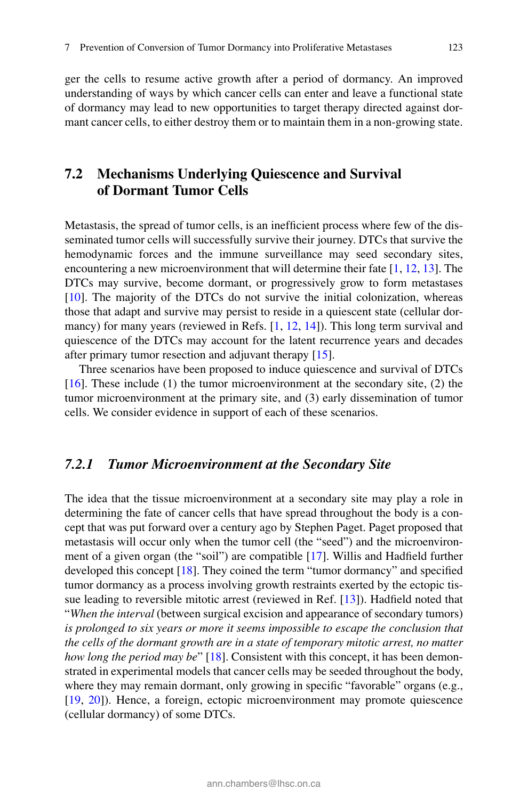ger the cells to resume active growth after a period of dormancy. An improved understanding of ways by which cancer cells can enter and leave a functional state of dormancy may lead to new opportunities to target therapy directed against dormant cancer cells, to either destroy them or to maintain them in a non-growing state.

### **7.2 Mechanisms Underlying Quiescence and Survival of Dormant Tumor Cells**

Metastasis, the spread of tumor cells, is an inefficient process where few of the disseminated tumor cells will successfully survive their journey. DTCs that survive the hemodynamic forces and the immune surveillance may seed secondary sites, encountering a new microenvironment that will determine their fate  $[1, 12, 13]$ . The DTCs may survive, become dormant, or progressively grow to form metastases [10]. The majority of the DTCs do not survive the initial colonization, whereas those that adapt and survive may persist to reside in a quiescent state (cellular dormancy) for many years (reviewed in Refs.  $[1, 12, 14]$ ). This long term survival and quiescence of the DTCs may account for the latent recurrence years and decades after primary tumor resection and adjuvant therapy [15].

 Three scenarios have been proposed to induce quiescence and survival of DTCs  $[16]$ . These include (1) the tumor microenvironment at the secondary site, (2) the tumor microenvironment at the primary site, and (3) early dissemination of tumor cells. We consider evidence in support of each of these scenarios.

### *7.2.1 Tumor Microenvironment at the Secondary Site*

 The idea that the tissue microenvironment at a secondary site may play a role in determining the fate of cancer cells that have spread throughout the body is a concept that was put forward over a century ago by Stephen Paget. Paget proposed that metastasis will occur only when the tumor cell (the "seed") and the microenvironment of a given organ (the "soil") are compatible  $[17]$ . Willis and Hadfield further developed this concept  $[18]$ . They coined the term "tumor dormancy" and specified tumor dormancy as a process involving growth restraints exerted by the ectopic tissue leading to reversible mitotic arrest (reviewed in Ref.  $[13]$ ). Hadfield noted that " *When the interval* (between surgical excision and appearance of secondary tumors) *is prolonged to six years or more it seems impossible to escape the conclusion that the cells of the dormant growth are in a state of temporary mitotic arrest, no matter how long the period may be*" [18]. Consistent with this concept, it has been demonstrated in experimental models that cancer cells may be seeded throughout the body, where they may remain dormant, only growing in specific "favorable" organs  $(e.g.,)$ [19, 20]). Hence, a foreign, ectopic microenvironment may promote quiescence (cellular dormancy) of some DTCs.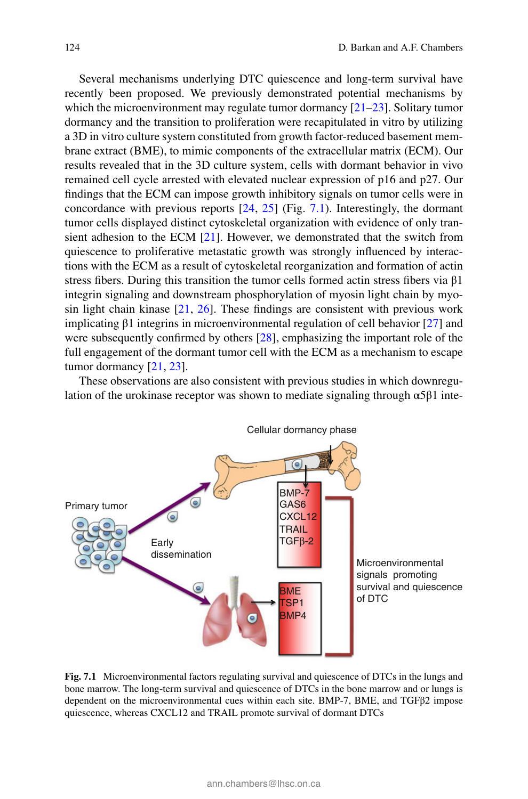Several mechanisms underlying DTC quiescence and long-term survival have recently been proposed. We previously demonstrated potential mechanisms by which the microenvironment may regulate tumor dormancy  $[21-23]$ . Solitary tumor dormancy and the transition to proliferation were recapitulated in vitro by utilizing a 3D in vitro culture system constituted from growth factor-reduced basement membrane extract (BME), to mimic components of the extracellular matrix (ECM). Our results revealed that in the 3D culture system, cells with dormant behavior in vivo remained cell cycle arrested with elevated nuclear expression of p16 and p27. Our findings that the ECM can impose growth inhibitory signals on tumor cells were in concordance with previous reports  $[24, 25]$  (Fig. 7.1). Interestingly, the dormant tumor cells displayed distinct cytoskeletal organization with evidence of only transient adhesion to the ECM  $[21]$ . However, we demonstrated that the switch from quiescence to proliferative metastatic growth was strongly influenced by interactions with the ECM as a result of cytoskeletal reorganization and formation of actin stress fibers. During this transition the tumor cells formed actin stress fibers via  $\beta$ 1 integrin signaling and downstream phosphorylation of myosin light chain by myosin light chain kinase  $[21, 26]$ . These findings are consistent with previous work implicating  $\beta$ 1 integrins in microenvironmental regulation of cell behavior [27] and were subsequently confirmed by others  $[28]$ , emphasizing the important role of the full engagement of the dormant tumor cell with the ECM as a mechanism to escape tumor dormancy  $[21, 23]$ .

 These observations are also consistent with previous studies in which downregulation of the urokinase receptor was shown to mediate signaling through  $\alpha$ 5β1 inte-



 **Fig. 7.1** Microenvironmental factors regulating survival and quiescence of DTCs in the lungs and bone marrow. The long-term survival and quiescence of DTCs in the bone marrow and or lungs is dependent on the microenvironmental cues within each site. BMP-7, BME, and TGFβ2 impose quiescence, whereas CXCL12 and TRAIL promote survival of dormant DTCs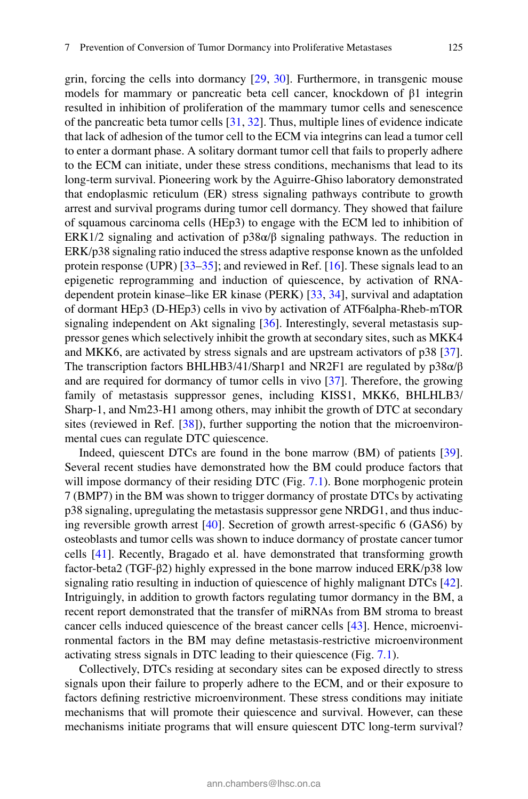grin, forcing the cells into dormancy  $[29, 30]$ . Furthermore, in transgenic mouse models for mammary or pancreatic beta cell cancer, knockdown of β1 integrin resulted in inhibition of proliferation of the mammary tumor cells and senescence of the pancreatic beta tumor cells  $[31, 32]$ . Thus, multiple lines of evidence indicate that lack of adhesion of the tumor cell to the ECM via integrins can lead a tumor cell to enter a dormant phase. A solitary dormant tumor cell that fails to properly adhere to the ECM can initiate, under these stress conditions, mechanisms that lead to its long-term survival. Pioneering work by the Aguirre-Ghiso laboratory demonstrated that endoplasmic reticulum (ER) stress signaling pathways contribute to growth arrest and survival programs during tumor cell dormancy. They showed that failure of squamous carcinoma cells (HEp3) to engage with the ECM led to inhibition of ERK1/2 signaling and activation of p38α/β signaling pathways. The reduction in ERK/p38 signaling ratio induced the stress adaptive response known as the unfolded protein response (UPR)  $\left[33\text{--}35\right]$ ; and reviewed in Ref.  $\left[16\right]$ . These signals lead to an epigenetic reprogramming and induction of quiescence, by activation of RNAdependent protein kinase–like ER kinase (PERK) [33, 34], survival and adaptation of dormant HEp3 (D-HEp3) cells in vivo by activation of ATF6alpha-Rheb-mTOR signaling independent on Akt signaling [36]. Interestingly, several metastasis suppressor genes which selectively inhibit the growth at secondary sites, such as MKK4 and MKK6, are activated by stress signals and are upstream activators of p38 [37]. The transcription factors BHLHB3/41/Sharp1 and NR2F1 are regulated by p38α/β and are required for dormancy of tumor cells in vivo  $\left[37\right]$ . Therefore, the growing family of metastasis suppressor genes, including KISS1, MKK6, BHLHLB3/ Sharp-1, and Nm23-H1 among others, may inhibit the growth of DTC at secondary sites (reviewed in Ref.  $[38]$ ), further supporting the notion that the microenvironmental cues can regulate DTC quiescence.

Indeed, quiescent DTCs are found in the bone marrow (BM) of patients [39]. Several recent studies have demonstrated how the BM could produce factors that will impose dormancy of their residing DTC (Fig. 7.1). Bone morphogenic protein 7 (BMP7) in the BM was shown to trigger dormancy of prostate DTCs by activating p38 signaling, upregulating the metastasis suppressor gene NRDG1, and thus inducing reversible growth arrest  $[40]$ . Secretion of growth arrest-specific 6 (GAS6) by osteoblasts and tumor cells was shown to induce dormancy of prostate cancer tumor cells [41]. Recently, Bragado et al. have demonstrated that transforming growth factor-beta2 (TGF-β2) highly expressed in the bone marrow induced ERK/p38 low signaling ratio resulting in induction of quiescence of highly malignant DTCs [ 42 ]. Intriguingly, in addition to growth factors regulating tumor dormancy in the BM, a recent report demonstrated that the transfer of miRNAs from BM stroma to breast cancer cells induced quiescence of the breast cancer cells [43]. Hence, microenvironmental factors in the BM may define metastasis-restrictive microenvironment activating stress signals in DTC leading to their quiescence (Fig. 7.1 ).

 Collectively, DTCs residing at secondary sites can be exposed directly to stress signals upon their failure to properly adhere to the ECM, and or their exposure to factors defining restrictive microenvironment. These stress conditions may initiate mechanisms that will promote their quiescence and survival. However, can these mechanisms initiate programs that will ensure quiescent DTC long-term survival?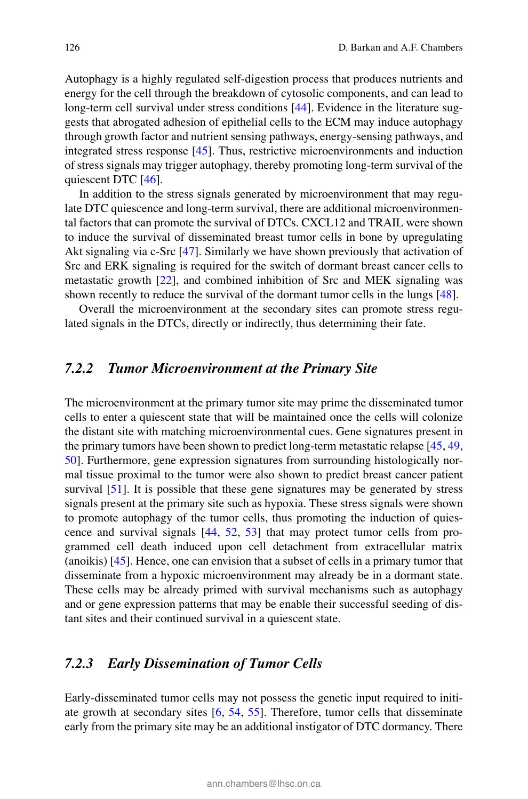Autophagy is a highly regulated self-digestion process that produces nutrients and energy for the cell through the breakdown of cytosolic components, and can lead to long-term cell survival under stress conditions [44]. Evidence in the literature suggests that abrogated adhesion of epithelial cells to the ECM may induce autophagy through growth factor and nutrient sensing pathways, energy-sensing pathways, and integrated stress response [45]. Thus, restrictive microenvironments and induction of stress signals may trigger autophagy, thereby promoting long-term survival of the quiescent DTC [46].

 In addition to the stress signals generated by microenvironment that may regulate DTC quiescence and long-term survival, there are additional microenvironmental factors that can promote the survival of DTCs. CXCL12 and TRAIL were shown to induce the survival of disseminated breast tumor cells in bone by upregulating Akt signaling via c-Src [47]. Similarly we have shown previously that activation of Src and ERK signaling is required for the switch of dormant breast cancer cells to metastatic growth  $[22]$ , and combined inhibition of Src and MEK signaling was shown recently to reduce the survival of the dormant tumor cells in the lungs [48].

 Overall the microenvironment at the secondary sites can promote stress regulated signals in the DTCs, directly or indirectly, thus determining their fate.

### *7.2.2 Tumor Microenvironment at the Primary Site*

 The microenvironment at the primary tumor site may prime the disseminated tumor cells to enter a quiescent state that will be maintained once the cells will colonize the distant site with matching microenvironmental cues. Gene signatures present in the primary tumors have been shown to predict long-term metastatic relapse [ 45 , 49 , 50 ]. Furthermore, gene expression signatures from surrounding histologically normal tissue proximal to the tumor were also shown to predict breast cancer patient survival  $[51]$ . It is possible that these gene signatures may be generated by stress signals present at the primary site such as hypoxia. These stress signals were shown to promote autophagy of the tumor cells, thus promoting the induction of quiescence and survival signals  $[44, 52, 53]$  that may protect tumor cells from programmed cell death induced upon cell detachment from extracellular matrix (anoikis) [45]. Hence, one can envision that a subset of cells in a primary tumor that disseminate from a hypoxic microenvironment may already be in a dormant state. These cells may be already primed with survival mechanisms such as autophagy and or gene expression patterns that may be enable their successful seeding of distant sites and their continued survival in a quiescent state.

### *7.2.3 Early Dissemination of Tumor Cells*

 Early-disseminated tumor cells may not possess the genetic input required to initiate growth at secondary sites  $[6, 54, 55]$ . Therefore, tumor cells that disseminate early from the primary site may be an additional instigator of DTC dormancy. There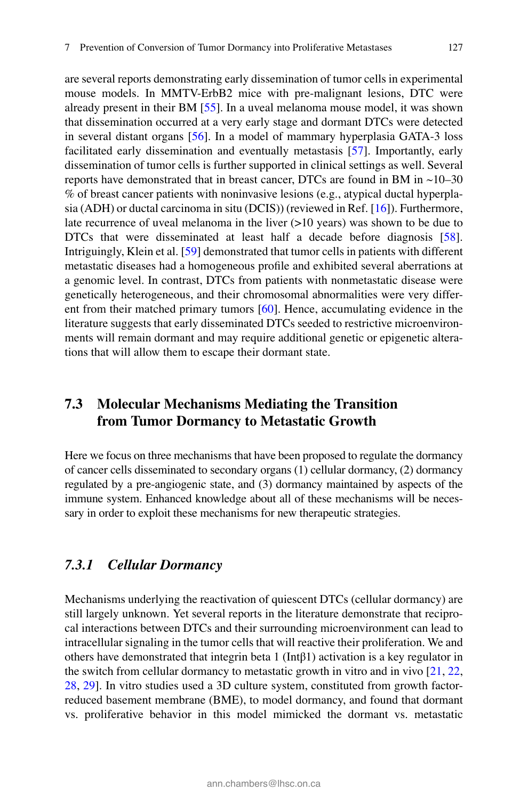are several reports demonstrating early dissemination of tumor cells in experimental mouse models. In MMTV-ErbB2 mice with pre-malignant lesions, DTC were already present in their BM [55]. In a uveal melanoma mouse model, it was shown that dissemination occurred at a very early stage and dormant DTCs were detected in several distant organs  $[56]$ . In a model of mammary hyperplasia GATA-3 loss facilitated early dissemination and eventually metastasis [57]. Importantly, early dissemination of tumor cells is further supported in clinical settings as well. Several reports have demonstrated that in breast cancer, DTCs are found in BM in  $\sim$ 10–30 % of breast cancer patients with noninvasive lesions (e.g., atypical ductal hyperplasia (ADH) or ductal carcinoma in situ (DCIS)) (reviewed in Ref.  $[16]$ ). Furthermore, late recurrence of uveal melanoma in the liver (>10 years) was shown to be due to DTCs that were disseminated at least half a decade before diagnosis [58]. Intriguingly, Klein et al. [ 59 ] demonstrated that tumor cells in patients with different metastatic diseases had a homogeneous profile and exhibited several aberrations at a genomic level. In contrast, DTCs from patients with nonmetastatic disease were genetically heterogeneous, and their chromosomal abnormalities were very different from their matched primary tumors  $[60]$ . Hence, accumulating evidence in the literature suggests that early disseminated DTCs seeded to restrictive microenvironments will remain dormant and may require additional genetic or epigenetic alterations that will allow them to escape their dormant state.

# **7.3 Molecular Mechanisms Mediating the Transition from Tumor Dormancy to Metastatic Growth**

 Here we focus on three mechanisms that have been proposed to regulate the dormancy of cancer cells disseminated to secondary organs (1) cellular dormancy, (2) dormancy regulated by a pre-angiogenic state, and (3) dormancy maintained by aspects of the immune system. Enhanced knowledge about all of these mechanisms will be necessary in order to exploit these mechanisms for new therapeutic strategies.

### *7.3.1 Cellular Dormancy*

 Mechanisms underlying the reactivation of quiescent DTCs ( cellular dormancy ) are still largely unknown. Yet several reports in the literature demonstrate that reciprocal interactions between DTCs and their surrounding microenvironment can lead to intracellular signaling in the tumor cells that will reactive their proliferation. We and others have demonstrated that integrin beta 1 (Int $\beta$ 1) activation is a key regulator in the switch from cellular dormancy to metastatic growth in vitro and in vivo  $[21, 22, 12]$ 28 , 29 ]. In vitro studies used a 3D culture system, constituted from growth factorreduced basement membrane (BME), to model dormancy, and found that dormant vs. proliferative behavior in this model mimicked the dormant vs. metastatic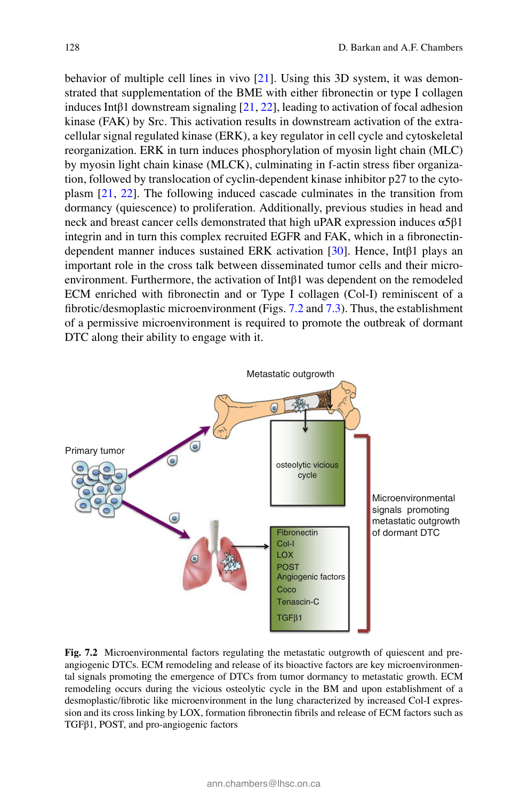behavior of multiple cell lines in vivo  $[21]$ . Using this 3D system, it was demonstrated that supplementation of the BME with either fibronectin or type I collagen induces Int $\beta$ 1 downstream signaling [21, 22], leading to activation of focal adhesion kinase (FAK) by Src. This activation results in downstream activation of the extracellular signal regulated kinase (ERK), a key regulator in cell cycle and cytoskeletal reorganization. ERK in turn induces phosphorylation of myosin light chain (MLC) by myosin light chain kinase (MLCK), culminating in f-actin stress fiber organization, followed by translocation of cyclin-dependent kinase inhibitor p27 to the cytoplasm  $[21, 22]$ . The following induced cascade culminates in the transition from dormancy (quiescence) to proliferation. Additionally, previous studies in head and neck and breast cancer cells demonstrated that high uPAR expression induces  $α5β1$ integrin and in turn this complex recruited EGFR and FAK, which in a fibronectindependent manner induces sustained ERK activation [30]. Hence, Int $\beta$ 1 plays an important role in the cross talk between disseminated tumor cells and their microenvironment. Furthermore, the activation of  $Int\beta1$  was dependent on the remodeled ECM enriched with fibronectin and or Type I collagen (Col-I) reminiscent of a fibrotic/desmoplastic microenvironment (Figs.  $7.2$  and  $7.3$ ). Thus, the establishment of a permissive microenvironment is required to promote the outbreak of dormant DTC along their ability to engage with it.



 **Fig. 7.2** Microenvironmental factors regulating the metastatic outgrowth of quiescent and preangiogenic DTCs. ECM remodeling and release of its bioactive factors are key microenvironmental signals promoting the emergence of DTCs from tumor dormancy to metastatic growth. ECM remodeling occurs during the vicious osteolytic cycle in the BM and upon establishment of a desmoplastic/fibrotic like microenvironment in the lung characterized by increased Col-I expression and its cross linking by LOX, formation fibronectin fibrils and release of ECM factors such as TGFβ1, POST, and pro-angiogenic factors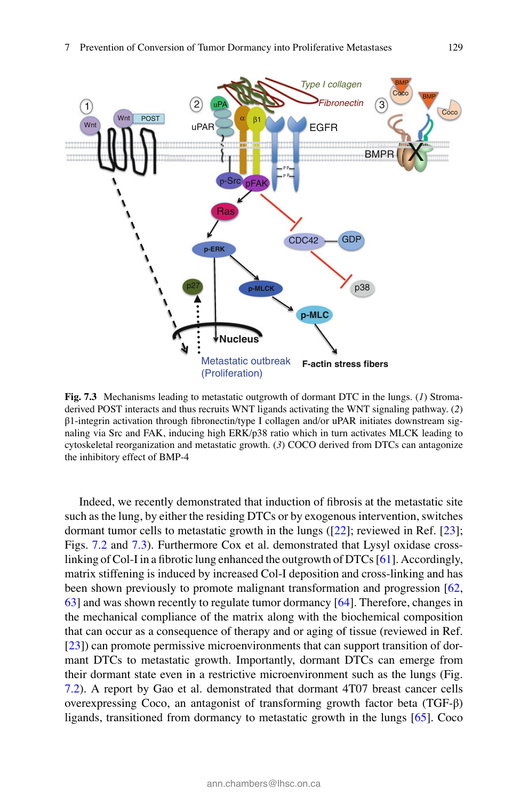

**Fig. 7.3** Mechanisms leading to metastatic outgrowth of dormant DTC in the lungs. (1) Stromaderived POST interacts and thus recruits WNT ligands activating the WNT signaling pathway. (2)  $β1$ -integrin activation through fibronectin/type I collagen and/or uPAR initiates downstream signaling via Src and FAK, inducing high ERK/p38 ratio which in turn activates MLCK leading to cytoskeletal reorganization and metastatic growth. ( *3* ) COCO derived from DTCs can antagonize the inhibitory effect of BMP-4

Indeed, we recently demonstrated that induction of fibrosis at the metastatic site such as the lung, by either the residing DTCs or by exogenous intervention, switches dormant tumor cells to metastatic growth in the lungs  $([22]$ ; reviewed in Ref.  $[23]$ ; Figs. 7.2 and 7.3 ). Furthermore Cox et al. demonstrated that Lysyl oxidase crosslinking of Col-I in a fibrotic lung enhanced the outgrowth of DTCs  $[61]$ . Accordingly, matrix stiffening is induced by increased Col-I deposition and cross-linking and has been shown previously to promote malignant transformation and progression [62, 63 ] and was shown recently to regulate tumor dormancy [ 64 ]. Therefore, changes in the mechanical compliance of the matrix along with the biochemical composition that can occur as a consequence of therapy and or aging of tissue (reviewed in Ref. [23]) can promote permissive microenvironments that can support transition of dormant DTCs to metastatic growth. Importantly, dormant DTCs can emerge from their dormant state even in a restrictive microenvironment such as the lungs (Fig. 7.2 ). A report by Gao et al. demonstrated that dormant 4T07 breast cancer cells overexpressing Coco, an antagonist of transforming growth factor beta (TGF-β) ligands, transitioned from dormancy to metastatic growth in the lungs  $[65]$ . Coco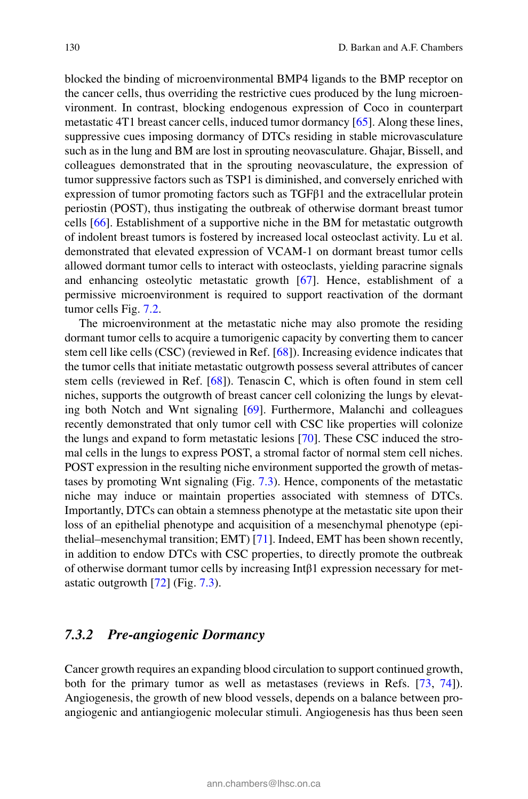blocked the binding of microenvironmental BMP4 ligands to the BMP receptor on the cancer cells, thus overriding the restrictive cues produced by the lung microenvironment. In contrast, blocking endogenous expression of Coco in counterpart metastatic 4T1 breast cancer cells, induced tumor dormancy [65]. Along these lines, suppressive cues imposing dormancy of DTCs residing in stable microvasculature such as in the lung and BM are lost in sprouting neovasculature. Ghajar, Bissell, and colleagues demonstrated that in the sprouting neovasculature, the expression of tumor suppressive factors such as TSP1 is diminished, and conversely enriched with expression of tumor promoting factors such as TGFβ1 and the extracellular protein periostin (POST), thus instigating the outbreak of otherwise dormant breast tumor cells [ 66 ]. Establishment of a supportive niche in the BM for metastatic outgrowth of indolent breast tumors is fostered by increased local osteoclast activity. Lu et al. demonstrated that elevated expression of VCAM-1 on dormant breast tumor cells allowed dormant tumor cells to interact with osteoclasts, yielding paracrine signals and enhancing osteolytic metastatic growth [67]. Hence, establishment of a permissive microenvironment is required to support reactivation of the dormant tumor cells Fig. 7.2.

 The microenvironment at the metastatic niche may also promote the residing dormant tumor cells to acquire a tumorigenic capacity by converting them to cancer stem cell like cells (CSC) (reviewed in Ref. [ 68 ]). Increasing evidence indicates that the tumor cells that initiate metastatic outgrowth possess several attributes of cancer stem cells (reviewed in Ref. [68]). Tenascin C, which is often found in stem cell niches, supports the outgrowth of breast cancer cell colonizing the lungs by elevating both Notch and Wnt signaling [69]. Furthermore, Malanchi and colleagues recently demonstrated that only tumor cell with CSC like properties will colonize the lungs and expand to form metastatic lesions  $[70]$ . These CSC induced the stromal cells in the lungs to express POST, a stromal factor of normal stem cell niches. POST expression in the resulting niche environment supported the growth of metastases by promoting Wnt signaling (Fig. 7.3 ). Hence, components of the metastatic niche may induce or maintain properties associated with stemness of DTCs. Importantly, DTCs can obtain a stemness phenotype at the metastatic site upon their loss of an epithelial phenotype and acquisition of a mesenchymal phenotype (epithelial–mesenchymal transition; EMT) [71]. Indeed, EMT has been shown recently, in addition to endow DTCs with CSC properties, to directly promote the outbreak of otherwise dormant tumor cells by increasing Intβ1 expression necessary for metastatic outgrowth  $[72]$  (Fig. 7.3).

### *7.3.2 Pre-angiogenic Dormancy*

 Cancer growth requires an expanding blood circulation to support continued growth, both for the primary tumor as well as metastases (reviews in Refs. [73, 74]). Angiogenesis , the growth of new blood vessels, depends on a balance between proangiogenic and antiangiogenic molecular stimuli. Angiogenesis has thus been seen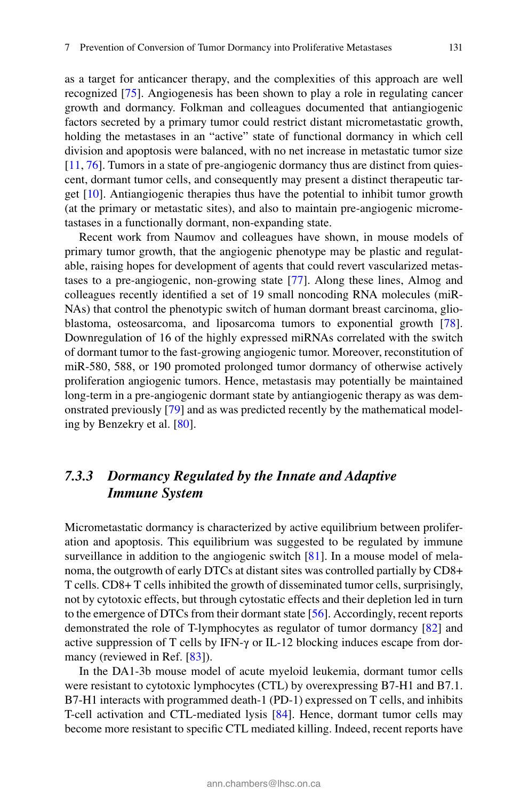as a target for anticancer therapy, and the complexities of this approach are well recognized [75]. Angiogenesis has been shown to play a role in regulating cancer growth and dormancy. Folkman and colleagues documented that antiangiogenic factors secreted by a primary tumor could restrict distant micrometastatic growth, holding the metastases in an "active" state of functional dormancy in which cell division and apoptosis were balanced, with no net increase in metastatic tumor size [11, 76]. Tumors in a state of pre-angiogenic dormancy thus are distinct from quiescent, dormant tumor cells, and consequently may present a distinct therapeutic target  $[10]$ . Antiangiogenic therapies thus have the potential to inhibit tumor growth (at the primary or metastatic sites), and also to maintain pre-angiogenic micrometastases in a functionally dormant, non-expanding state.

 Recent work from Naumov and colleagues have shown, in mouse models of primary tumor growth, that the angiogenic phenotype may be plastic and regulatable, raising hopes for development of agents that could revert vascularized metastases to a pre-angiogenic, non-growing state [77]. Along these lines, Almog and colleagues recently identified a set of 19 small noncoding RNA molecules (miR-NAs) that control the phenotypic switch of human dormant breast carcinoma, glioblastoma, osteosarcoma, and liposarcoma tumors to exponential growth [78]. Downregulation of 16 of the highly expressed miRNAs correlated with the switch of dormant tumor to the fast-growing angiogenic tumor. Moreover, reconstitution of miR-580, 588, or 190 promoted prolonged tumor dormancy of otherwise actively proliferation angiogenic tumors. Hence, metastasis may potentially be maintained long-term in a pre-angiogenic dormant state by antiangiogenic therapy as was demonstrated previously [ 79 ] and as was predicted recently by the mathematical modeling by Benzekry et al. [80].

## *7.3.3 Dormancy Regulated by the Innate and Adaptive Immune System*

 Micrometastatic dormancy is characterized by active equilibrium between proliferation and apoptosis. This equilibrium was suggested to be regulated by immune surveillance in addition to the angiogenic switch  $[81]$ . In a mouse model of melanoma, the outgrowth of early DTCs at distant sites was controlled partially by CD8+ T cells. CD8+ T cells inhibited the growth of disseminated tumor cells, surprisingly, not by cytotoxic effects, but through cytostatic effects and their depletion led in turn to the emergence of DTCs from their dormant state [ 56 ]. Accordingly, recent reports demonstrated the role of T-lymphocytes as regulator of tumor dormancy [82] and active suppression of T cells by IFN-γ or IL-12 blocking induces escape from dormancy (reviewed in Ref. [83]).

 In the DA1-3b mouse model of acute myeloid leukemia, dormant tumor cells were resistant to cytotoxic lymphocytes (CTL) by overexpressing B7-H1 and B7.1. B7-H1 interacts with programmed death-1 (PD-1) expressed on T cells, and inhibits T-cell activation and CTL-mediated lysis [84]. Hence, dormant tumor cells may become more resistant to specific CTL mediated killing. Indeed, recent reports have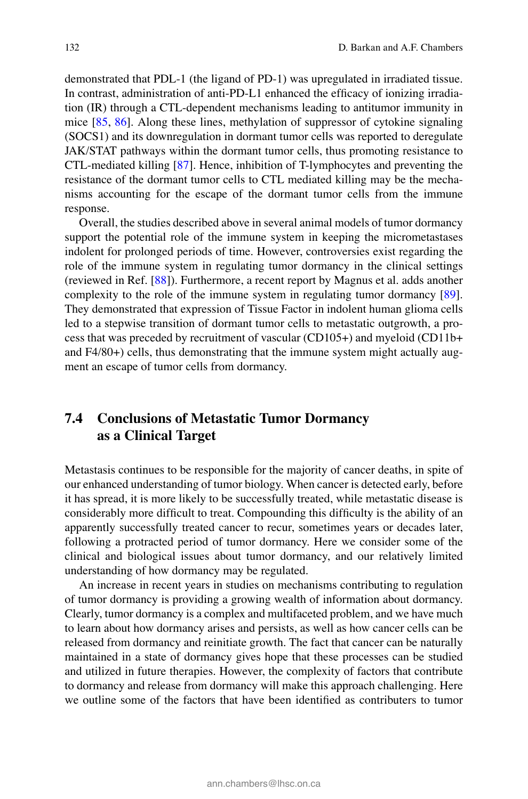demonstrated that PDL-1 (the ligand of PD-1) was upregulated in irradiated tissue. In contrast, administration of anti-PD-L1 enhanced the efficacy of ionizing irradiation (IR) through a CTL-dependent mechanisms leading to antitumor immunity in mice [85, 86]. Along these lines, methylation of suppressor of cytokine signaling (SOCS1) and its downregulation in dormant tumor cells was reported to deregulate JAK/STAT pathways within the dormant tumor cells, thus promoting resistance to CTL-mediated killing [ 87 ]. Hence, inhibition of T-lymphocytes and preventing the resistance of the dormant tumor cells to CTL mediated killing may be the mechanisms accounting for the escape of the dormant tumor cells from the immune response.

 Overall, the studies described above in several animal models of tumor dormancy support the potential role of the immune system in keeping the micrometastases indolent for prolonged periods of time. However, controversies exist regarding the role of the immune system in regulating tumor dormancy in the clinical settings (reviewed in Ref. [ 88 ]). Furthermore, a recent report by Magnus et al. adds another complexity to the role of the immune system in regulating tumor dormancy [89]. They demonstrated that expression of Tissue Factor in indolent human glioma cells led to a stepwise transition of dormant tumor cells to metastatic outgrowth, a process that was preceded by recruitment of vascular (CD105+) and myeloid (CD11b+ and F4/80+) cells, thus demonstrating that the immune system might actually augment an escape of tumor cells from dormancy.

## **7.4 Conclusions of Metastatic Tumor Dormancy as a Clinical Target**

 Metastasis continues to be responsible for the majority of cancer deaths, in spite of our enhanced understanding of tumor biology. When cancer is detected early, before it has spread, it is more likely to be successfully treated, while metastatic disease is considerably more difficult to treat. Compounding this difficulty is the ability of an apparently successfully treated cancer to recur, sometimes years or decades later, following a protracted period of tumor dormancy. Here we consider some of the clinical and biological issues about tumor dormancy, and our relatively limited understanding of how dormancy may be regulated.

 An increase in recent years in studies on mechanisms contributing to regulation of tumor dormancy is providing a growing wealth of information about dormancy. Clearly, tumor dormancy is a complex and multifaceted problem, and we have much to learn about how dormancy arises and persists, as well as how cancer cells can be released from dormancy and reinitiate growth. The fact that cancer can be naturally maintained in a state of dormancy gives hope that these processes can be studied and utilized in future therapies. However, the complexity of factors that contribute to dormancy and release from dormancy will make this approach challenging. Here we outline some of the factors that have been identified as contributers to tumor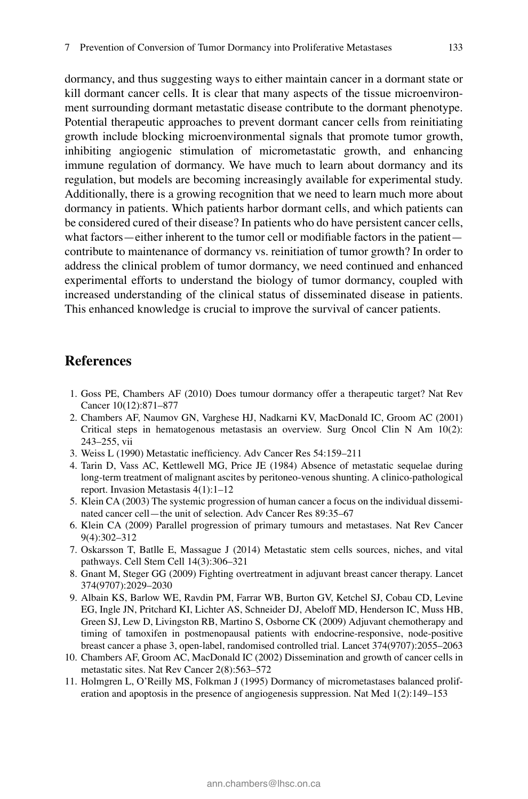dormancy, and thus suggesting ways to either maintain cancer in a dormant state or kill dormant cancer cells. It is clear that many aspects of the tissue microenvironment surrounding dormant metastatic disease contribute to the dormant phenotype. Potential therapeutic approaches to prevent dormant cancer cells from reinitiating growth include blocking microenvironmental signals that promote tumor growth, inhibiting angiogenic stimulation of micrometastatic growth, and enhancing immune regulation of dormancy. We have much to learn about dormancy and its regulation, but models are becoming increasingly available for experimental study. Additionally, there is a growing recognition that we need to learn much more about dormancy in patients. Which patients harbor dormant cells, and which patients can be considered cured of their disease? In patients who do have persistent cancer cells, what factors—either inherent to the tumor cell or modifiable factors in the patient—

contribute to maintenance of dormancy vs. reinitiation of tumor growth? In order to address the clinical problem of tumor dormancy, we need continued and enhanced experimental efforts to understand the biology of tumor dormancy, coupled with increased understanding of the clinical status of disseminated disease in patients. This enhanced knowledge is crucial to improve the survival of cancer patients.

### **References**

- 1. Goss PE, Chambers AF (2010) Does tumour dormancy offer a therapeutic target? Nat Rev Cancer 10(12):871–877
- 2. Chambers AF, Naumov GN, Varghese HJ, Nadkarni KV, MacDonald IC, Groom AC (2001) Critical steps in hematogenous metastasis an overview. Surg Oncol Clin N Am 10(2): 243–255, vii
- 3. Weiss L (1990) Metastatic inefficiency. Adv Cancer Res 54:159-211
- 4. Tarin D, Vass AC, Kettlewell MG, Price JE (1984) Absence of metastatic sequelae during long-term treatment of malignant ascites by peritoneo-venous shunting. A clinico-pathological report. Invasion Metastasis 4(1):1–12
- 5. Klein CA (2003) The systemic progression of human cancer a focus on the individual disseminated cancer cell—the unit of selection. Adv Cancer Res 89:35–67
- 6. Klein CA (2009) Parallel progression of primary tumours and metastases. Nat Rev Cancer 9(4):302–312
- 7. Oskarsson T, Batlle E, Massague J (2014) Metastatic stem cells sources, niches, and vital pathways. Cell Stem Cell 14(3):306–321
- 8. Gnant M, Steger GG (2009) Fighting overtreatment in adjuvant breast cancer therapy. Lancet 374(9707):2029–2030
- 9. Albain KS, Barlow WE, Ravdin PM, Farrar WB, Burton GV, Ketchel SJ, Cobau CD, Levine EG, Ingle JN, Pritchard KI, Lichter AS, Schneider DJ, Abeloff MD, Henderson IC, Muss HB, Green SJ, Lew D, Livingston RB, Martino S, Osborne CK (2009) Adjuvant chemotherapy and timing of tamoxifen in postmenopausal patients with endocrine-responsive, node-positive breast cancer a phase 3, open-label, randomised controlled trial. Lancet 374(9707):2055–2063
- 10. Chambers AF, Groom AC, MacDonald IC (2002) Dissemination and growth of cancer cells in metastatic sites. Nat Rev Cancer 2(8):563–572
- 11. Holmgren L, O'Reilly MS, Folkman J (1995) Dormancy of micrometastases balanced proliferation and apoptosis in the presence of angiogenesis suppression. Nat Med 1(2):149–153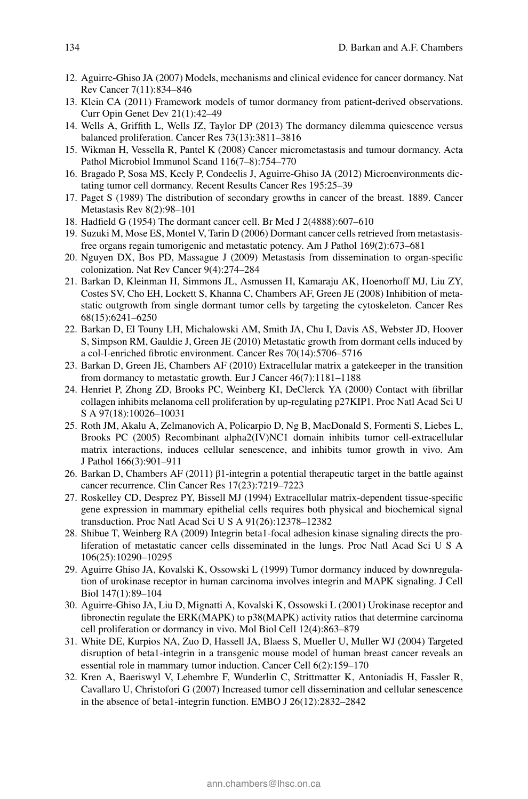- 12. Aguirre-Ghiso JA (2007) Models, mechanisms and clinical evidence for cancer dormancy. Nat Rev Cancer 7(11):834–846
- 13. Klein CA (2011) Framework models of tumor dormancy from patient-derived observations. Curr Opin Genet Dev 21(1):42–49
- 14. Wells A, Griffith L, Wells JZ, Taylor DP (2013) The dormancy dilemma quiescence versus balanced proliferation. Cancer Res 73(13):3811–3816
- 15. Wikman H, Vessella R, Pantel K (2008) Cancer micrometastasis and tumour dormancy. Acta Pathol Microbiol Immunol Scand 116(7–8):754–770
- 16. Bragado P, Sosa MS, Keely P, Condeelis J, Aguirre-Ghiso JA (2012) Microenvironments dictating tumor cell dormancy. Recent Results Cancer Res 195:25–39
- 17. Paget S (1989) The distribution of secondary growths in cancer of the breast. 1889. Cancer Metastasis Rev 8(2):98–101
- 18. Hadfield G (1954) The dormant cancer cell. Br Med J 2(4888):607-610
- 19. Suzuki M, Mose ES, Montel V, Tarin D (2006) Dormant cancer cells retrieved from metastasisfree organs regain tumorigenic and metastatic potency. Am J Pathol 169(2):673–681
- 20. Nguyen DX, Bos PD, Massague J (2009) Metastasis from dissemination to organ-specific colonization. Nat Rev Cancer 9(4):274–284
- 21. Barkan D, Kleinman H, Simmons JL, Asmussen H, Kamaraju AK, Hoenorhoff MJ, Liu ZY, Costes SV, Cho EH, Lockett S, Khanna C, Chambers AF, Green JE (2008) Inhibition of metastatic outgrowth from single dormant tumor cells by targeting the cytoskeleton. Cancer Res 68(15):6241–6250
- 22. Barkan D, El Touny LH, Michalowski AM, Smith JA, Chu I, Davis AS, Webster JD, Hoover S, Simpson RM, Gauldie J, Green JE (2010) Metastatic growth from dormant cells induced by a col-I-enriched fibrotic environment. Cancer Res 70(14):5706–5716
- 23. Barkan D, Green JE, Chambers AF (2010) Extracellular matrix a gatekeeper in the transition from dormancy to metastatic growth. Eur J Cancer 46(7):1181–1188
- 24. Henriet P, Zhong ZD, Brooks PC, Weinberg KI, DeClerck YA (2000) Contact with fibrillar collagen inhibits melanoma cell proliferation by up-regulating p27KIP1. Proc Natl Acad Sci U S A 97(18):10026–10031
- 25. Roth JM, Akalu A, Zelmanovich A, Policarpio D, Ng B, MacDonald S, Formenti S, Liebes L, Brooks PC (2005) Recombinant alpha2(IV)NC1 domain inhibits tumor cell-extracellular matrix interactions, induces cellular senescence, and inhibits tumor growth in vivo. Am J Pathol 166(3):901–911
- 26. Barkan D, Chambers AF (2011) β1-integrin a potential therapeutic target in the battle against cancer recurrence. Clin Cancer Res 17(23):7219–7223
- 27. Roskelley CD, Desprez PY, Bissell MJ (1994) Extracellular matrix-dependent tissue-specific gene expression in mammary epithelial cells requires both physical and biochemical signal transduction. Proc Natl Acad Sci U S A 91(26):12378–12382
- 28. Shibue T, Weinberg RA (2009) Integrin beta1-focal adhesion kinase signaling directs the proliferation of metastatic cancer cells disseminated in the lungs. Proc Natl Acad Sci U S A 106(25):10290–10295
- 29. Aguirre Ghiso JA, Kovalski K, Ossowski L (1999) Tumor dormancy induced by downregulation of urokinase receptor in human carcinoma involves integrin and MAPK signaling. J Cell Biol 147(1):89–104
- 30. Aguirre-Ghiso JA, Liu D, Mignatti A, Kovalski K, Ossowski L (2001) Urokinase receptor and fibronectin regulate the  $ERK(MAPK)$  to  $p38(MAPK)$  activity ratios that determine carcinoma cell proliferation or dormancy in vivo. Mol Biol Cell 12(4):863–879
- 31. White DE, Kurpios NA, Zuo D, Hassell JA, Blaess S, Mueller U, Muller WJ (2004) Targeted disruption of beta1-integrin in a transgenic mouse model of human breast cancer reveals an essential role in mammary tumor induction. Cancer Cell 6(2):159–170
- 32. Kren A, Baeriswyl V, Lehembre F, Wunderlin C, Strittmatter K, Antoniadis H, Fassler R, Cavallaro U, Christofori G (2007) Increased tumor cell dissemination and cellular senescence in the absence of beta1-integrin function. EMBO J 26(12):2832–2842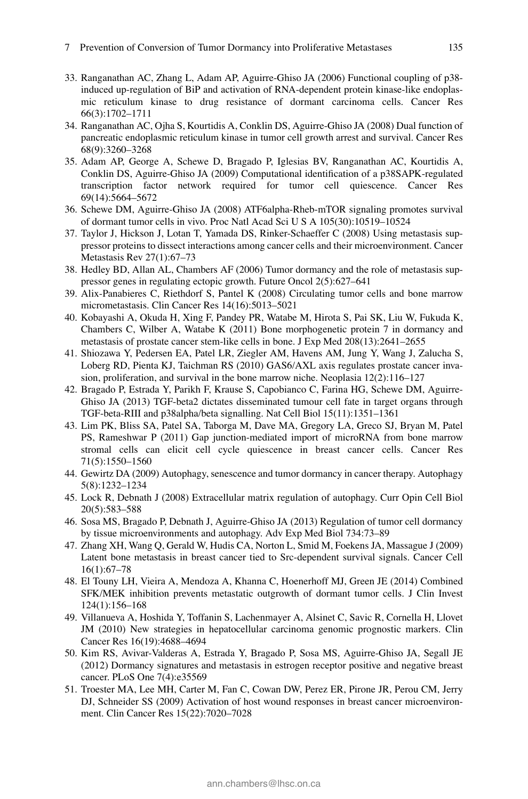- 33. Ranganathan AC, Zhang L, Adam AP, Aguirre-Ghiso JA (2006) Functional coupling of p38 induced up-regulation of BiP and activation of RNA-dependent protein kinase-like endoplasmic reticulum kinase to drug resistance of dormant carcinoma cells. Cancer Res 66(3):1702–1711
- 34. Ranganathan AC, Ojha S, Kourtidis A, Conklin DS, Aguirre-Ghiso JA (2008) Dual function of pancreatic endoplasmic reticulum kinase in tumor cell growth arrest and survival. Cancer Res 68(9):3260–3268
- 35. Adam AP, George A, Schewe D, Bragado P, Iglesias BV, Ranganathan AC, Kourtidis A, Conklin DS, Aguirre-Ghiso JA (2009) Computational identification of a p38SAPK-regulated transcription factor network required for tumor cell quiescence. Cancer Res 69(14):5664–5672
- 36. Schewe DM, Aguirre-Ghiso JA (2008) ATF6alpha-Rheb-mTOR signaling promotes survival of dormant tumor cells in vivo. Proc Natl Acad Sci U S A 105(30):10519–10524
- 37. Taylor J, Hickson J, Lotan T, Yamada DS, Rinker-Schaeffer C (2008) Using metastasis suppressor proteins to dissect interactions among cancer cells and their microenvironment. Cancer Metastasis Rev 27(1):67–73
- 38. Hedley BD, Allan AL, Chambers AF (2006) Tumor dormancy and the role of metastasis suppressor genes in regulating ectopic growth. Future Oncol 2(5):627–641
- 39. Alix-Panabieres C, Riethdorf S, Pantel K (2008) Circulating tumor cells and bone marrow micrometastasis. Clin Cancer Res 14(16):5013–5021
- 40. Kobayashi A, Okuda H, Xing F, Pandey PR, Watabe M, Hirota S, Pai SK, Liu W, Fukuda K, Chambers C, Wilber A, Watabe K (2011) Bone morphogenetic protein 7 in dormancy and metastasis of prostate cancer stem-like cells in bone. J Exp Med 208(13):2641–2655
- 41. Shiozawa Y, Pedersen EA, Patel LR, Ziegler AM, Havens AM, Jung Y, Wang J, Zalucha S, Loberg RD, Pienta KJ, Taichman RS (2010) GAS6/AXL axis regulates prostate cancer invasion, proliferation, and survival in the bone marrow niche. Neoplasia 12(2):116–127
- 42. Bragado P, Estrada Y, Parikh F, Krause S, Capobianco C, Farina HG, Schewe DM, Aguirre-Ghiso JA (2013) TGF-beta2 dictates disseminated tumour cell fate in target organs through TGF-beta-RIII and p38alpha/beta signalling. Nat Cell Biol 15(11):1351–1361
- 43. Lim PK, Bliss SA, Patel SA, Taborga M, Dave MA, Gregory LA, Greco SJ, Bryan M, Patel PS, Rameshwar P (2011) Gap junction-mediated import of microRNA from bone marrow stromal cells can elicit cell cycle quiescence in breast cancer cells. Cancer Res 71(5):1550–1560
- 44. Gewirtz DA (2009) Autophagy, senescence and tumor dormancy in cancer therapy. Autophagy 5(8):1232–1234
- 45. Lock R, Debnath J (2008) Extracellular matrix regulation of autophagy. Curr Opin Cell Biol 20(5):583–588
- 46. Sosa MS, Bragado P, Debnath J, Aguirre-Ghiso JA (2013) Regulation of tumor cell dormancy by tissue microenvironments and autophagy. Adv Exp Med Biol 734:73–89
- 47. Zhang XH, Wang Q, Gerald W, Hudis CA, Norton L, Smid M, Foekens JA, Massague J (2009) Latent bone metastasis in breast cancer tied to Src-dependent survival signals. Cancer Cell 16(1):67–78
- 48. El Touny LH, Vieira A, Mendoza A, Khanna C, Hoenerhoff MJ, Green JE (2014) Combined SFK/MEK inhibition prevents metastatic outgrowth of dormant tumor cells. J Clin Invest 124(1):156–168
- 49. Villanueva A, Hoshida Y, Toffanin S, Lachenmayer A, Alsinet C, Savic R, Cornella H, Llovet JM (2010) New strategies in hepatocellular carcinoma genomic prognostic markers. Clin Cancer Res 16(19):4688–4694
- 50. Kim RS, Avivar-Valderas A, Estrada Y, Bragado P, Sosa MS, Aguirre-Ghiso JA, Segall JE (2012) Dormancy signatures and metastasis in estrogen receptor positive and negative breast cancer. PLoS One 7(4):e35569
- 51. Troester MA, Lee MH, Carter M, Fan C, Cowan DW, Perez ER, Pirone JR, Perou CM, Jerry DJ, Schneider SS (2009) Activation of host wound responses in breast cancer microenvironment. Clin Cancer Res 15(22):7020–7028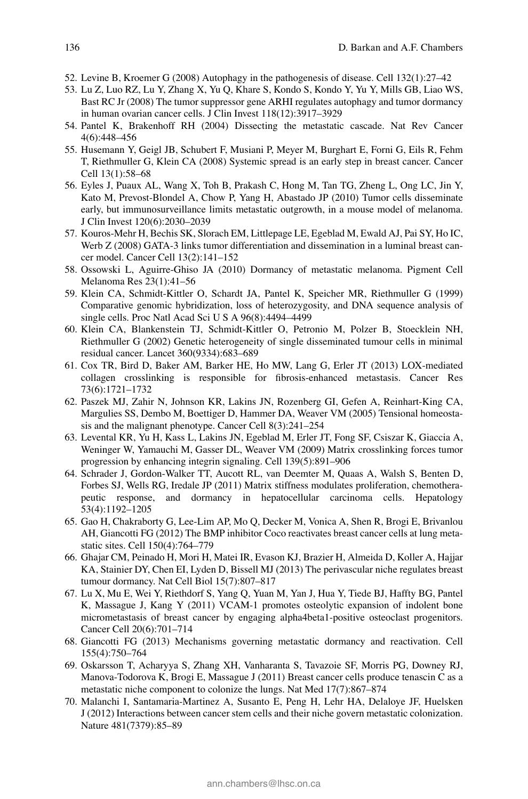- 52. Levine B, Kroemer G (2008) Autophagy in the pathogenesis of disease. Cell 132(1):27–42
- 53. Lu Z, Luo RZ, Lu Y, Zhang X, Yu Q, Khare S, Kondo S, Kondo Y, Yu Y, Mills GB, Liao WS, Bast RC Jr (2008) The tumor suppressor gene ARHI regulates autophagy and tumor dormancy in human ovarian cancer cells. J Clin Invest 118(12):3917–3929
- 54. Pantel K, Brakenhoff RH (2004) Dissecting the metastatic cascade. Nat Rev Cancer 4(6):448–456
- 55. Husemann Y, Geigl JB, Schubert F, Musiani P, Meyer M, Burghart E, Forni G, Eils R, Fehm T, Riethmuller G, Klein CA (2008) Systemic spread is an early step in breast cancer. Cancer Cell 13(1):58–68
- 56. Eyles J, Puaux AL, Wang X, Toh B, Prakash C, Hong M, Tan TG, Zheng L, Ong LC, Jin Y, Kato M, Prevost-Blondel A, Chow P, Yang H, Abastado JP (2010) Tumor cells disseminate early, but immunosurveillance limits metastatic outgrowth, in a mouse model of melanoma. J Clin Invest 120(6):2030–2039
- 57. Kouros-Mehr H, Bechis SK, Slorach EM, Littlepage LE, Egeblad M, Ewald AJ, Pai SY, Ho IC, Werb Z (2008) GATA-3 links tumor differentiation and dissemination in a luminal breast cancer model. Cancer Cell 13(2):141–152
- 58. Ossowski L, Aguirre-Ghiso JA (2010) Dormancy of metastatic melanoma. Pigment Cell Melanoma Res 23(1):41–56
- 59. Klein CA, Schmidt-Kittler O, Schardt JA, Pantel K, Speicher MR, Riethmuller G (1999) Comparative genomic hybridization, loss of heterozygosity, and DNA sequence analysis of single cells. Proc Natl Acad Sci U S A 96(8):4494–4499
- 60. Klein CA, Blankenstein TJ, Schmidt-Kittler O, Petronio M, Polzer B, Stoecklein NH, Riethmuller G (2002) Genetic heterogeneity of single disseminated tumour cells in minimal residual cancer. Lancet 360(9334):683–689
- 61. Cox TR, Bird D, Baker AM, Barker HE, Ho MW, Lang G, Erler JT (2013) LOX-mediated collagen crosslinking is responsible for fibrosis-enhanced metastasis. Cancer Res 73(6):1721–1732
- 62. Paszek MJ, Zahir N, Johnson KR, Lakins JN, Rozenberg GI, Gefen A, Reinhart-King CA, Margulies SS, Dembo M, Boettiger D, Hammer DA, Weaver VM (2005) Tensional homeostasis and the malignant phenotype. Cancer Cell 8(3):241–254
- 63. Levental KR, Yu H, Kass L, Lakins JN, Egeblad M, Erler JT, Fong SF, Csiszar K, Giaccia A, Weninger W, Yamauchi M, Gasser DL, Weaver VM (2009) Matrix crosslinking forces tumor progression by enhancing integrin signaling. Cell 139(5):891–906
- 64. Schrader J, Gordon-Walker TT, Aucott RL, van Deemter M, Quaas A, Walsh S, Benten D, Forbes SJ, Wells RG, Iredale JP (2011) Matrix stiffness modulates proliferation, chemotherapeutic response, and dormancy in hepatocellular carcinoma cells. Hepatology 53(4):1192–1205
- 65. Gao H, Chakraborty G, Lee-Lim AP, Mo Q, Decker M, Vonica A, Shen R, Brogi E, Brivanlou AH, Giancotti FG (2012) The BMP inhibitor Coco reactivates breast cancer cells at lung metastatic sites. Cell 150(4):764–779
- 66. Ghajar CM, Peinado H, Mori H, Matei IR, Evason KJ, Brazier H, Almeida D, Koller A, Hajjar KA, Stainier DY, Chen EI, Lyden D, Bissell MJ (2013) The perivascular niche regulates breast tumour dormancy. Nat Cell Biol 15(7):807–817
- 67. Lu X, Mu E, Wei Y, Riethdorf S, Yang Q, Yuan M, Yan J, Hua Y, Tiede BJ, Haffty BG, Pantel K, Massague J, Kang Y (2011) VCAM-1 promotes osteolytic expansion of indolent bone micrometastasis of breast cancer by engaging alpha4beta1-positive osteoclast progenitors. Cancer Cell 20(6):701–714
- 68. Giancotti FG (2013) Mechanisms governing metastatic dormancy and reactivation. Cell 155(4):750–764
- 69. Oskarsson T, Acharyya S, Zhang XH, Vanharanta S, Tavazoie SF, Morris PG, Downey RJ, Manova-Todorova K, Brogi E, Massague J (2011) Breast cancer cells produce tenascin C as a metastatic niche component to colonize the lungs. Nat Med 17(7):867–874
- 70. Malanchi I, Santamaria-Martinez A, Susanto E, Peng H, Lehr HA, Delaloye JF, Huelsken J (2012) Interactions between cancer stem cells and their niche govern metastatic colonization. Nature 481(7379):85–89